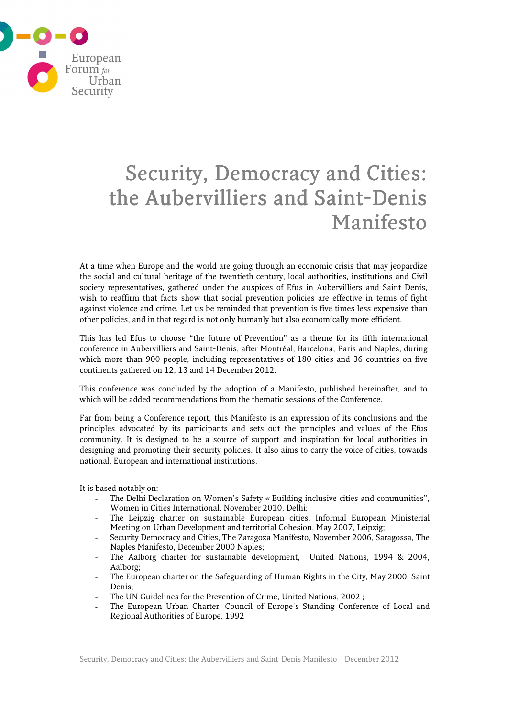

# Security, Democracy and Cities: the Aubervilliers and Saint-Denis Manifesto

At a time when Europe and the world are going through an economic crisis that may jeopardize the social and cultural heritage of the twentieth century, local authorities, institutions and Civil society representatives, gathered under the auspices of Efus in Aubervilliers and Saint Denis, wish to reaffirm that facts show that social prevention policies are effective in terms of fight against violence and crime. Let us be reminded that prevention is five times less expensive than other policies, and in that regard is not only humanly but also economically more efficient.

This has led Efus to choose "the future of Prevention" as a theme for its fifth international conference in Aubervilliers and Saint-Denis, after Montréal, Barcelona, Paris and Naples, during which more than 900 people, including representatives of 180 cities and 36 countries on five continents gathered on 12, 13 and 14 December 2012.

This conference was concluded by the adoption of a Manifesto, published hereinafter, and to which will be added recommendations from the thematic sessions of the Conference.

Far from being a Conference report, this Manifesto is an expression of its conclusions and the principles advocated by its participants and sets out the principles and values of the Efus community. It is designed to be a source of support and inspiration for local authorities in designing and promoting their security policies. It also aims to carry the voice of cities, towards national, European and international institutions.

It is based notably on:

- The Delhi Declaration on Women's Safety « Building inclusive cities and communities", Women in Cities International, November 2010, Delhi;
- The Leipzig charter on sustainable European cities, Informal European Ministerial Meeting on Urban Development and territorial Cohesion, May 2007, Leipzig;
- Security Democracy and Cities, The Zaragoza Manifesto, November 2006, Saragossa, The Naples Manifesto, December 2000 Naples;
- The Aalborg charter for sustainable development, United Nations, 1994 & 2004, Aalborg;
- The European charter on the Safeguarding of Human Rights in the City, May 2000, Saint Denis;
- The UN Guidelines for the Prevention of Crime, United Nations, 2002 ;
- The European Urban Charter, Council of Europe's Standing Conference of Local and Regional Authorities of Europe, 1992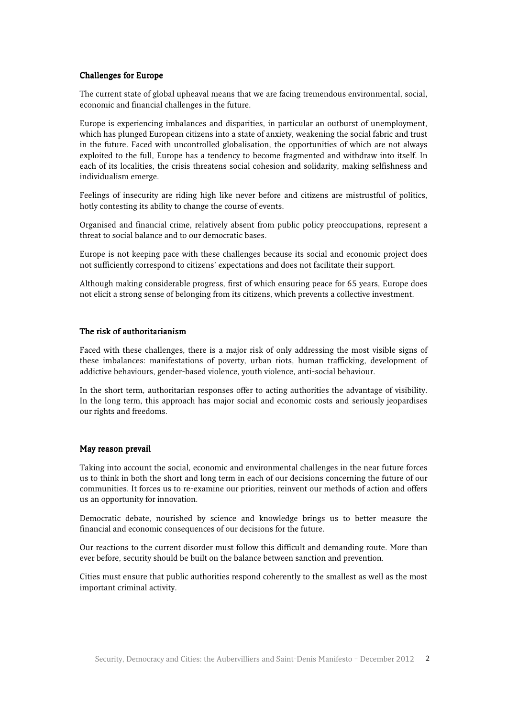#### Challenges for Europe

The current state of global upheaval means that we are facing tremendous environmental, social, economic and financial challenges in the future.

Europe is experiencing imbalances and disparities, in particular an outburst of unemployment, which has plunged European citizens into a state of anxiety, weakening the social fabric and trust in the future. Faced with uncontrolled globalisation, the opportunities of which are not always exploited to the full, Europe has a tendency to become fragmented and withdraw into itself. In each of its localities, the crisis threatens social cohesion and solidarity, making selfishness and individualism emerge.

Feelings of insecurity are riding high like never before and citizens are mistrustful of politics, hotly contesting its ability to change the course of events.

Organised and financial crime, relatively absent from public policy preoccupations, represent a threat to social balance and to our democratic bases.

Europe is not keeping pace with these challenges because its social and economic project does not sufficiently correspond to citizens' expectations and does not facilitate their support.

Although making considerable progress, first of which ensuring peace for 65 years, Europe does not elicit a strong sense of belonging from its citizens, which prevents a collective investment.

# The risk of authoritarianism

Faced with these challenges, there is a major risk of only addressing the most visible signs of these imbalances: manifestations of poverty, urban riots, human trafficking, development of addictive behaviours, gender-based violence, youth violence, anti-social behaviour.

In the short term, authoritarian responses offer to acting authorities the advantage of visibility. In the long term, this approach has major social and economic costs and seriously jeopardises our rights and freedoms.

# May reason prevail

Taking into account the social, economic and environmental challenges in the near future forces us to think in both the short and long term in each of our decisions concerning the future of our communities. It forces us to re-examine our priorities, reinvent our methods of action and offers us an opportunity for innovation.

Democratic debate, nourished by science and knowledge brings us to better measure the financial and economic consequences of our decisions for the future.

Our reactions to the current disorder must follow this difficult and demanding route. More than ever before, security should be built on the balance between sanction and prevention.

Cities must ensure that public authorities respond coherently to the smallest as well as the most important criminal activity.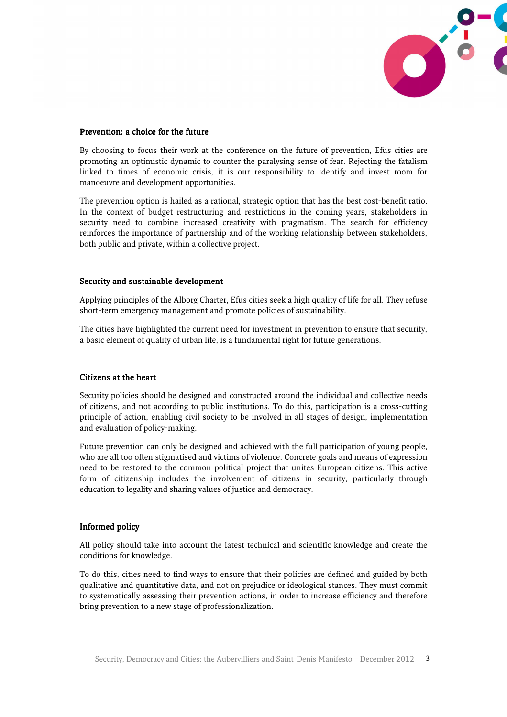

#### Prevention: a choice for the future

By choosing to focus their work at the conference on the future of prevention, Efus cities are promoting an optimistic dynamic to counter the paralysing sense of fear. Rejecting the fatalism linked to times of economic crisis, it is our responsibility to identify and invest room for manoeuvre and development opportunities.

The prevention option is hailed as a rational, strategic option that has the best cost-benefit ratio. In the context of budget restructuring and restrictions in the coming years, stakeholders in security need to combine increased creativity with pragmatism. The search for efficiency reinforces the importance of partnership and of the working relationship between stakeholders, both public and private, within a collective project.

#### Security and sustainable development

Applying principles of the Alborg Charter, Efus cities seek a high quality of life for all. They refuse short-term emergency management and promote policies of sustainability.

The cities have highlighted the current need for investment in prevention to ensure that security, a basic element of quality of urban life, is a fundamental right for future generations.

# Citizens at the heart

Security policies should be designed and constructed around the individual and collective needs of citizens, and not according to public institutions. To do this, participation is a cross-cutting principle of action, enabling civil society to be involved in all stages of design, implementation and evaluation of policy-making.

Future prevention can only be designed and achieved with the full participation of young people, who are all too often stigmatised and victims of violence. Concrete goals and means of expression need to be restored to the common political project that unites European citizens. This active form of citizenship includes the involvement of citizens in security, particularly through education to legality and sharing values of justice and democracy.

# Informed policy

All policy should take into account the latest technical and scientific knowledge and create the conditions for knowledge.

To do this, cities need to find ways to ensure that their policies are defined and guided by both qualitative and quantitative data, and not on prejudice or ideological stances. They must commit to systematically assessing their prevention actions, in order to increase efficiency and therefore bring prevention to a new stage of professionalization.